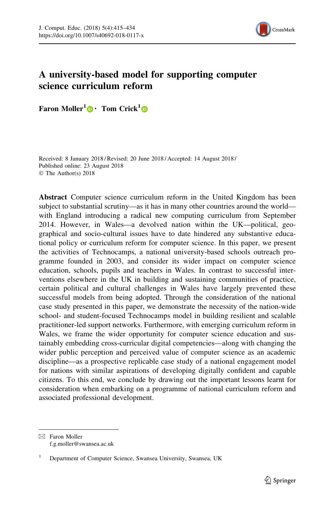

# A university-based model for supporting computer science curriculum reform

Faron Moller<sup>1</sup><sup>O</sup> · Tom Crick<sup>1</sup><sup>O</sup>

Received: 8 January 2018 / Revised: 20 June 2018 / Accepted: 14 August 2018 / Published online: 23 August 2018  $\circ$  The Author(s) 2018

Abstract Computer science curriculum reform in the United Kingdom has been subject to substantial scrutiny—as it has in many other countries around the world with England introducing a radical new computing curriculum from September 2014. However, in Wales—a devolved nation within the UK—political, geographical and socio-cultural issues have to date hindered any substantive educational policy or curriculum reform for computer science. In this paper, we present the activities of Technocamps, a national university-based schools outreach programme founded in 2003, and consider its wider impact on computer science education, schools, pupils and teachers in Wales. In contrast to successful interventions elsewhere in the UK in building and sustaining communities of practice, certain political and cultural challenges in Wales have largely prevented these successful models from being adopted. Through the consideration of the national case study presented in this paper, we demonstrate the necessity of the nation-wide school- and student-focused Technocamps model in building resilient and scalable practitioner-led support networks. Furthermore, with emerging curriculum reform in Wales, we frame the wider opportunity for computer science education and sustainably embedding cross-curricular digital competencies—along with changing the wider public perception and perceived value of computer science as an academic discipline—as a prospective replicable case study of a national engagement model for nations with similar aspirations of developing digitally confident and capable citizens. To this end, we conclude by drawing out the important lessons learnt for consideration when embarking on a programme of national curriculum reform and associated professional development.

 $\boxtimes$  Faron Moller f.g.moller@swansea.ac.uk

<sup>&</sup>lt;sup>1</sup> Department of Computer Science, Swansea University, Swansea, UK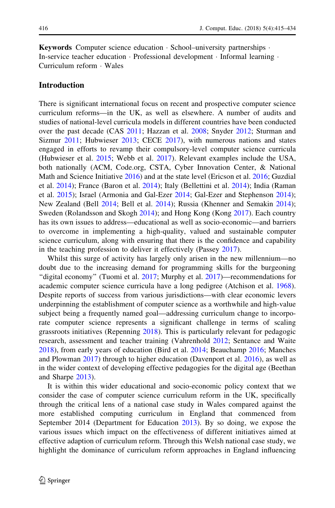Keywords Computer science education - School–university partnerships - In-service teacher education - Professional development - Informal learning - Curriculum reform - Wales

## Introduction

There is significant international focus on recent and prospective computer science curriculum reforms—in the UK, as well as elsewhere. A number of audits and studies of national-level curricula models in different countries have been conducted over the past decade (CAS [2011](#page-16-0); Hazzan et al. [2008](#page-17-0); Snyder [2012;](#page-18-0) Sturman and Sizmur [2011](#page-18-0); Hubwieser [2013;](#page-17-0) CECE [2017\)](#page-16-0), with numerous nations and states engaged in efforts to revamp their compulsory-level computer science curricula (Hubwieser et al. [2015](#page-17-0); Webb et al. [2017](#page-18-0)). Relevant examples include the USA, both nationally (ACM, Code.org, CSTA, Cyber Innovation Center, & National Math and Science Initiative [2016\)](#page-16-0) and at the state level (Ericson et al. [2016](#page-17-0); Guzdial et al. [2014\)](#page-17-0); France (Baron et al. [2014\)](#page-16-0); Italy (Bellettini et al. [2014](#page-16-0)); India (Raman et al. [2015\)](#page-18-0); Israel (Armonia and Gal-Ezer [2014](#page-16-0); Gal-Ezer and Stephenson [2014](#page-17-0)); New Zealand (Bell [2014](#page-17-0); Bell et al. 2014); Russia (Khenner and Semakin 2014); Sweden (Rolandsson and Skogh [2014](#page-18-0)); and Hong Kong (Kong [2017\)](#page-17-0). Each country has its own issues to address—educational as well as socio-economic—and barriers to overcome in implementing a high-quality, valued and sustainable computer science curriculum, along with ensuring that there is the confidence and capability in the teaching profession to deliver it effectively (Passey [2017](#page-18-0)).

Whilst this surge of activity has largely only arisen in the new millennium—no doubt due to the increasing demand for programming skills for the burgeoning ''digital economy'' (Tuomi et al. [2017;](#page-18-0) Murphy et al. [2017](#page-17-0))—recommendations for academic computer science curricula have a long pedigree (Atchison et al. [1968\)](#page-16-0). Despite reports of success from various jurisdictions—with clear economic levers underpinning the establishment of computer science as a worthwhile and high-value subject being a frequently named goal—addressing curriculum change to incorporate computer science represents a significant challenge in terms of scaling grassroots initiatives (Repenning [2018](#page-18-0)). This is particularly relevant for pedagogic research, assessment and teacher training (Vahrenhold [2012](#page-18-0); Sentance and Waite [2018\)](#page-18-0), from early years of education (Bird et al. [2014](#page-16-0); Beauchamp [2016](#page-16-0); Manches and Plowman [2017\)](#page-17-0) through to higher education (Davenport et al. [2016](#page-17-0)), as well as in the wider context of developing effective pedagogies for the digital age (Beethan and Sharpe [2013\)](#page-16-0).

It is within this wider educational and socio-economic policy context that we consider the case of computer science curriculum reform in the UK, specifically through the critical lens of a national case study in Wales compared against the more established computing curriculum in England that commenced from September 2014 (Department for Education [2013\)](#page-17-0). By so doing, we expose the various issues which impact on the effectiveness of different initiatives aimed at effective adaption of curriculum reform. Through this Welsh national case study, we highlight the dominance of curriculum reform approaches in England influencing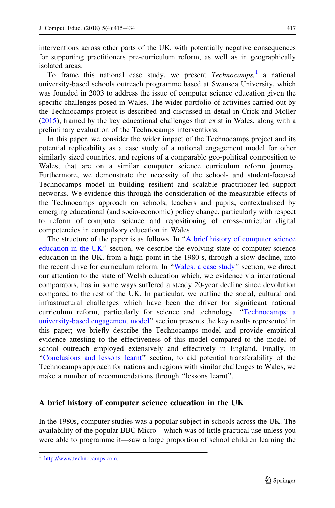<span id="page-2-0"></span>interventions across other parts of the UK, with potentially negative consequences for supporting practitioners pre-curriculum reform, as well as in geographically isolated areas.

To frame this national case study, we present  $Technocamps<sup>1</sup>$ , a national university-based schools outreach programme based at Swansea University, which was founded in 2003 to address the issue of computer science education given the specific challenges posed in Wales. The wider portfolio of activities carried out by the Technocamps project is described and discussed in detail in Crick and Moller [\(2015](#page-16-0)), framed by the key educational challenges that exist in Wales, along with a preliminary evaluation of the Technocamps interventions.

In this paper, we consider the wider impact of the Technocamps project and its potential replicability as a case study of a national engagement model for other similarly sized countries, and regions of a comparable geo-political composition to Wales, that are on a similar computer science curriculum reform journey. Furthermore, we demonstrate the necessity of the school- and student-focused Technocamps model in building resilient and scalable practitioner-led support networks. We evidence this through the consideration of the measurable effects of the Technocamps approach on schools, teachers and pupils, contextualised by emerging educational (and socio-economic) policy change, particularly with respect to reform of computer science and repositioning of cross-curricular digital competencies in compulsory education in Wales.

The structure of the paper is as follows. In ''A brief history of computer science education in the UK'' section, we describe the evolving state of computer science education in the UK, from a high-point in the 1980 s, through a slow decline, into the recent drive for curriculum reform. In '['Wales: a case study'](#page-5-0)' section, we direct our attention to the state of Welsh education which, we evidence via international comparators, has in some ways suffered a steady 20-year decline since devolution compared to the rest of the UK. In particular, we outline the social, cultural and infrastructural challenges which have been the driver for significant national curriculum reform, particularly for science and technology. ''[Technocamps: a](#page-14-0) [university-based engagement model](#page-14-0)'' section presents the key results represented in this paper; we briefly describe the Technocamps model and provide empirical evidence attesting to the effectiveness of this model compared to the model of school outreach employed extensively and effectively in England. Finally, in ''[Conclusions and lessons learnt](#page-14-0)'' section, to aid potential transferability of the Technocamps approach for nations and regions with similar challenges to Wales, we make a number of recommendations through "lessons learnt".

# A brief history of computer science education in the UK

In the 1980s, computer studies was a popular subject in schools across the UK. The availability of the popular BBC Micro—which was of little practical use unless you were able to programme it—saw a large proportion of school children learning the

<sup>&</sup>lt;sup>1</sup> [http://www.technocamps.com.](http://www.technocamps.com)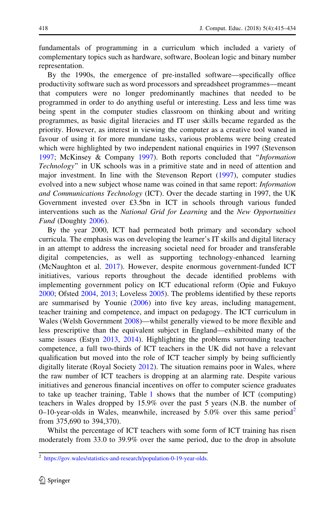fundamentals of programming in a curriculum which included a variety of complementary topics such as hardware, software, Boolean logic and binary number representation.

By the 1990s, the emergence of pre-installed software—specifically office productivity software such as word processors and spreadsheet programmes—meant that computers were no longer predominantly machines that needed to be programmed in order to do anything useful or interesting. Less and less time was being spent in the computer studies classroom on thinking about and writing programmes, as basic digital literacies and IT user skills became regarded as the priority. However, as interest in viewing the computer as a creative tool waned in favour of using it for more mundane tasks, various problems were being created which were highlighted by two independent national enquiries in 1997 (Stevenson [1997;](#page-18-0) McKinsey & Company [1997](#page-17-0)). Both reports concluded that ''Information Technology'' in UK schools was in a primitive state and in need of attention and major investment. In line with the Stevenson Report ([1997\)](#page-18-0), computer studies evolved into a new subject whose name was coined in that same report: *Information* and Communications Technology (ICT). Over the decade starting in 1997, the UK Government invested over £3.5bn in ICT in schools through various funded interventions such as the National Grid for Learning and the New Opportunities Fund (Doughty [2006](#page-17-0)).

By the year 2000, ICT had permeated both primary and secondary school curricula. The emphasis was on developing the learner's IT skills and digital literacy in an attempt to address the increasing societal need for broader and transferable digital competencies, as well as supporting technology-enhanced learning (McNaughton et al. [2017\)](#page-17-0). However, despite enormous government-funded ICT initiatives, various reports throughout the decade identified problems with implementing government policy on ICT educational reform (Opie and Fukuyo [2000;](#page-18-0) Ofsted [2004](#page-18-0), [2013;](#page-18-0) Loveless [2005\)](#page-17-0). The problems identified by these reports are summarised by Younie ([2006\)](#page-18-0) into five key areas, including management, teacher training and competence, and impact on pedagogy. The ICT curriculum in Wales (Welsh Government [2008](#page-18-0))—whilst generally viewed to be more flexible and less prescriptive than the equivalent subject in England—exhibited many of the same issues (Estyn [2013](#page-17-0), [2014](#page-17-0)). Highlighting the problems surrounding teacher competence, a full two-thirds of ICT teachers in the UK did not have a relevant qualification but moved into the role of ICT teacher simply by being sufficiently digitally literate (Royal Society [2012\)](#page-18-0). The situation remains poor in Wales, where the raw number of ICT teachers is dropping at an alarming rate. Despite various initiatives and generous financial incentives on offer to computer science graduates to take up teacher training, Table [1](#page-4-0) shows that the number of ICT (computing) teachers in Wales dropped by 15.9% over the past 5 years (N.B. the number of 0–10-year-olds in Wales, meanwhile, increased by  $5.0\%$  over this same period<sup>2</sup> from 375,690 to 394,370).

Whilst the percentage of ICT teachers with some form of ICT training has risen moderately from 33.0 to 39.9% over the same period, due to the drop in absolute

<sup>2</sup> <https://gov.wales/statistics-and-research/population-0-19-year-olds>.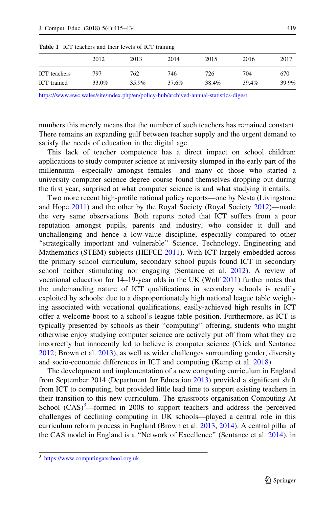| <b>Table 1</b> Tell reactives and their levels of Tell training |       |       |       |       |       |       |
|-----------------------------------------------------------------|-------|-------|-------|-------|-------|-------|
|                                                                 | 2012  | 2013  | 2014  | 2015  | 2016  | 2017  |
| <b>ICT</b> teachers                                             | 797   | 762   | 746   | 726   | 704   | 670   |
| <b>ICT</b> trained                                              | 33.0% | 35.9% | 37.6% | 38.4% | 39.4% | 39.9% |

<span id="page-4-0"></span>Table 1 ICT teachers and their levels of ICT training

<https://www.ewc.wales/site/index.php/en/policy-hub/archived-annual-statistics-digest>

numbers this merely means that the number of such teachers has remained constant. There remains an expanding gulf between teacher supply and the urgent demand to satisfy the needs of education in the digital age.

This lack of teacher competence has a direct impact on school children: applications to study computer science at university slumped in the early part of the millennium—especially amongst females—and many of those who started a university computer science degree course found themselves dropping out during the first year, surprised at what computer science is and what studying it entails.

Two more recent high-profile national policy reports—one by Nesta (Livingstone and Hope [2011](#page-17-0)) and the other by the Royal Society (Royal Society [2012](#page-18-0))—made the very same observations. Both reports noted that ICT suffers from a poor reputation amongst pupils, parents and industry, who consider it dull and unchallenging and hence a low-value discipline, especially compared to other "strategically important and vulnerable" Science, Technology, Engineering and Mathematics (STEM) subjects (HEFCE [2011](#page-17-0)). With ICT largely embedded across the primary school curriculum, secondary school pupils found ICT in secondary school neither stimulating nor engaging (Sentance et al. [2012\)](#page-18-0). A review of vocational education for 14–19-year olds in the UK (Wolf [2011](#page-18-0)) further notes that the undemanding nature of ICT qualifications in secondary schools is readily exploited by schools: due to a disproportionately high national league table weighting associated with vocational qualifications, easily-achieved high results in ICT offer a welcome boost to a school's league table position. Furthermore, as ICT is typically presented by schools as their ''computing'' offering, students who might otherwise enjoy studying computer science are actively put off from what they are incorrectly but innocently led to believe is computer science (Crick and Sentance [2012;](#page-16-0) Brown et al. [2013\)](#page-16-0), as well as wider challenges surrounding gender, diversity and socio-economic differences in ICT and computing (Kemp et al. [2018\)](#page-17-0).

The development and implementation of a new computing curriculum in England from September 2014 (Department for Education [2013\)](#page-17-0) provided a significant shift from ICT to computing, but provided little lead time to support existing teachers in their transition to this new curriculum. The grassroots organisation Computing At School (CAS)<sup>3</sup>—formed in 2008 to support teachers and address the perceived challenges of declining computing in UK schools—played a central role in this curriculum reform process in England (Brown et al. [2013,](#page-16-0) [2014\)](#page-16-0). A central pillar of the CAS model in England is a ''Network of Excellence'' (Sentance et al. [2014\)](#page-18-0), in

<https://www.computingatschool.org.uk>.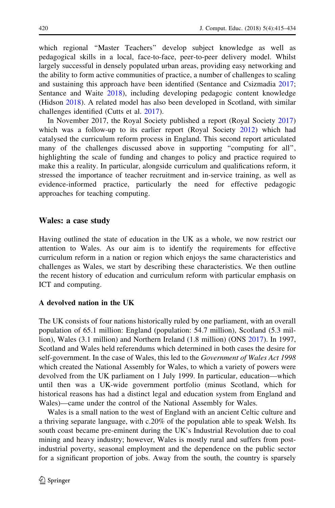<span id="page-5-0"></span>which regional ''Master Teachers'' develop subject knowledge as well as pedagogical skills in a local, face-to-face, peer-to-peer delivery model. Whilst largely successful in densely populated urban areas, providing easy networking and the ability to form active communities of practice, a number of challenges to scaling and sustaining this approach have been identified (Sentance and Csizmadia [2017;](#page-18-0) Sentance and Waite [2018\)](#page-18-0), including developing pedagogic content knowledge (Hidson [2018](#page-17-0)). A related model has also been developed in Scotland, with similar challenges identified (Cutts et al. [2017](#page-16-0)).

In November 2017, the Royal Society published a report (Royal Society [2017](#page-18-0)) which was a follow-up to its earlier report (Royal Society [2012\)](#page-18-0) which had catalysed the curriculum reform process in England. This second report articulated many of the challenges discussed above in supporting "computing for all", highlighting the scale of funding and changes to policy and practice required to make this a reality. In particular, alongside curriculum and qualifications reform, it stressed the importance of teacher recruitment and in-service training, as well as evidence-informed practice, particularly the need for effective pedagogic approaches for teaching computing.

## Wales: a case study

Having outlined the state of education in the UK as a whole, we now restrict our attention to Wales. As our aim is to identify the requirements for effective curriculum reform in a nation or region which enjoys the same characteristics and challenges as Wales, we start by describing these characteristics. We then outline the recent history of education and curriculum reform with particular emphasis on ICT and computing.

## A devolved nation in the UK

The UK consists of four nations historically ruled by one parliament, with an overall population of 65.1 million: England (population: 54.7 million), Scotland (5.3 million), Wales (3.1 million) and Northern Ireland (1.8 million) (ONS [2017\)](#page-18-0). In 1997, Scotland and Wales held referendums which determined in both cases the desire for self-government. In the case of Wales, this led to the Government of Wales Act 1998 which created the National Assembly for Wales, to which a variety of powers were devolved from the UK parliament on 1 July 1999. In particular, education—which until then was a UK-wide government portfolio (minus Scotland, which for historical reasons has had a distinct legal and education system from England and Wales)—came under the control of the National Assembly for Wales.

Wales is a small nation to the west of England with an ancient Celtic culture and a thriving separate language, with c.20% of the population able to speak Welsh. Its south coast became pre-eminent during the UK's Industrial Revolution due to coal mining and heavy industry; however, Wales is mostly rural and suffers from postindustrial poverty, seasonal employment and the dependence on the public sector for a significant proportion of jobs. Away from the south, the country is sparsely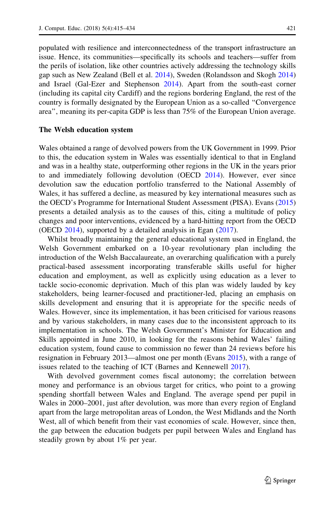populated with resilience and interconnectedness of the transport infrastructure an issue. Hence, its communities—specifically its schools and teachers—suffer from the perils of isolation, like other countries actively addressing the technology skills gap such as New Zealand (Bell et al. [2014](#page-16-0)), Sweden (Rolandsson and Skogh [2014](#page-18-0)) and Israel (Gal-Ezer and Stephenson [2014\)](#page-17-0). Apart from the south-east corner (including its capital city Cardiff) and the regions bordering England, the rest of the country is formally designated by the European Union as a so-called ''Convergence area'', meaning its per-capita GDP is less than 75% of the European Union average.

## The Welsh education system

Wales obtained a range of devolved powers from the UK Government in 1999. Prior to this, the education system in Wales was essentially identical to that in England and was in a healthy state, outperforming other regions in the UK in the years prior to and immediately following devolution (OECD [2014\)](#page-18-0). However, ever since devolution saw the education portfolio transferred to the National Assembly of Wales, it has suffered a decline, as measured by key international measures such as the OECD's Programme for International Student Assessment (PISA). Evans [\(2015](#page-17-0)) presents a detailed analysis as to the causes of this, citing a multitude of policy changes and poor interventions, evidenced by a hard-hitting report from the OECD (OECD [2014\)](#page-18-0), supported by a detailed analysis in Egan ([2017\)](#page-17-0).

Whilst broadly maintaining the general educational system used in England, the Welsh Government embarked on a 10-year revolutionary plan including the introduction of the Welsh Baccalaureate, an overarching qualification with a purely practical-based assessment incorporating transferable skills useful for higher education and employment, as well as explicitly using education as a lever to tackle socio-economic deprivation. Much of this plan was widely lauded by key stakeholders, being learner-focused and practitioner-led, placing an emphasis on skills development and ensuring that it is appropriate for the specific needs of Wales. However, since its implementation, it has been criticised for various reasons and by various stakeholders, in many cases due to the inconsistent approach to its implementation in schools. The Welsh Government's Minister for Education and Skills appointed in June 2010, in looking for the reasons behind Wales' failing education system, found cause to commission no fewer than 24 reviews before his resignation in February 2013—almost one per month (Evans [2015\)](#page-17-0), with a range of issues related to the teaching of ICT (Barnes and Kennewell [2017\)](#page-16-0).

With devolved government comes fiscal autonomy; the correlation between money and performance is an obvious target for critics, who point to a growing spending shortfall between Wales and England. The average spend per pupil in Wales in 2000–2001, just after devolution, was more than every region of England apart from the large metropolitan areas of London, the West Midlands and the North West, all of which benefit from their vast economies of scale. However, since then, the gap between the education budgets per pupil between Wales and England has steadily grown by about 1% per year.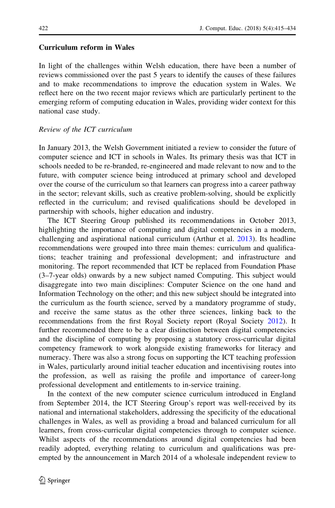## Curriculum reform in Wales

In light of the challenges within Welsh education, there have been a number of reviews commissioned over the past 5 years to identify the causes of these failures and to make recommendations to improve the education system in Wales. We reflect here on the two recent major reviews which are particularly pertinent to the emerging reform of computing education in Wales, providing wider context for this national case study.

## Review of the ICT curriculum

In January 2013, the Welsh Government initiated a review to consider the future of computer science and ICT in schools in Wales. Its primary thesis was that ICT in schools needed to be re-branded, re-engineered and made relevant to now and to the future, with computer science being introduced at primary school and developed over the course of the curriculum so that learners can progress into a career pathway in the sector; relevant skills, such as creative problem-solving, should be explicitly reflected in the curriculum; and revised qualifications should be developed in partnership with schools, higher education and industry.

The ICT Steering Group published its recommendations in October 2013, highlighting the importance of computing and digital competencies in a modern, challenging and aspirational national curriculum (Arthur et al. [2013](#page-16-0)). Its headline recommendations were grouped into three main themes: curriculum and qualifications; teacher training and professional development; and infrastructure and monitoring. The report recommended that ICT be replaced from Foundation Phase (3–7-year olds) onwards by a new subject named Computing. This subject would disaggregate into two main disciplines: Computer Science on the one hand and Information Technology on the other; and this new subject should be integrated into the curriculum as the fourth science, served by a mandatory programme of study, and receive the same status as the other three sciences, linking back to the recommendations from the first Royal Society report (Royal Society [2012](#page-18-0)). It further recommended there to be a clear distinction between digital competencies and the discipline of computing by proposing a statutory cross-curricular digital competency framework to work alongside existing frameworks for literacy and numeracy. There was also a strong focus on supporting the ICT teaching profession in Wales, particularly around initial teacher education and incentivising routes into the profession, as well as raising the profile and importance of career-long professional development and entitlements to in-service training.

In the context of the new computer science curriculum introduced in England from September 2014, the ICT Steering Group's report was well-received by its national and international stakeholders, addressing the specificity of the educational challenges in Wales, as well as providing a broad and balanced curriculum for all learners, from cross-curricular digital competencies through to computer science. Whilst aspects of the recommendations around digital competencies had been readily adopted, everything relating to curriculum and qualifications was preempted by the announcement in March 2014 of a wholesale independent review to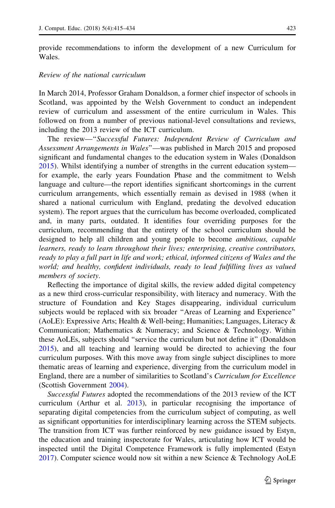provide recommendations to inform the development of a new Curriculum for Wales.

#### Review of the national curriculum

In March 2014, Professor Graham Donaldson, a former chief inspector of schools in Scotland, was appointed by the Welsh Government to conduct an independent review of curriculum and assessment of the entire curriculum in Wales. This followed on from a number of previous national-level consultations and reviews, including the 2013 review of the ICT curriculum.

The review—''Successful Futures: Independent Review of Curriculum and Assessment Arrangements in Wales''—was published in March 2015 and proposed significant and fundamental changes to the education system in Wales (Donaldson [2015\)](#page-17-0). Whilst identifying a number of strengths in the current education system for example, the early years Foundation Phase and the commitment to Welsh language and culture—the report identifies significant shortcomings in the current curriculum arrangements, which essentially remain as devised in 1988 (when it shared a national curriculum with England, predating the devolved education system). The report argues that the curriculum has become overloaded, complicated and, in many parts, outdated. It identifies four overriding purposes for the curriculum, recommending that the entirety of the school curriculum should be designed to help all children and young people to become *ambitious*, *capable* learners, ready to learn throughout their lives; enterprising, creative contributors, ready to play a full part in life and work; ethical, informed citizens of Wales and the world; and healthy, confident individuals, ready to lead fulfilling lives as valued members of society.

Reflecting the importance of digital skills, the review added digital competency as a new third cross-curricular responsibility, with literacy and numeracy. With the structure of Foundation and Key Stages disappearing, individual curriculum subjects would be replaced with six broader ''Areas of Learning and Experience'' (AoLE): Expressive Arts; Health & Well-being; Humanities; Languages, Literacy & Communication; Mathematics & Numeracy; and Science & Technology. Within these AoLEs, subjects should ''service the curriculum but not define it'' (Donaldson [2015\)](#page-17-0), and all teaching and learning would be directed to achieving the four curriculum purposes. With this move away from single subject disciplines to more thematic areas of learning and experience, diverging from the curriculum model in England, there are a number of similarities to Scotland's Curriculum for Excellence (Scottish Government [2004](#page-18-0)).

Successful Futures adopted the recommendations of the 2013 review of the ICT curriculum (Arthur et al. [2013\)](#page-16-0), in particular recognising the importance of separating digital competencies from the curriculum subject of computing, as well as significant opportunities for interdisciplinary learning across the STEM subjects. The transition from ICT was further reinforced by new guidance issued by Estyn, the education and training inspectorate for Wales, articulating how ICT would be inspected until the Digital Competence Framework is fully implemented (Estyn [2017\)](#page-17-0). Computer science would now sit within a new Science & Technology AoLE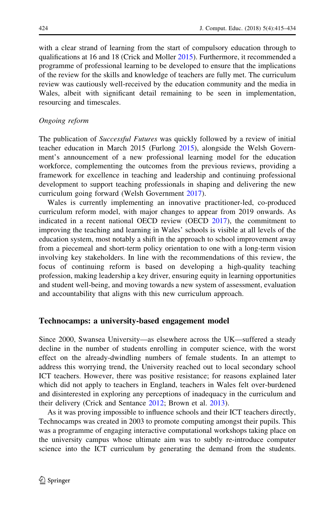with a clear strand of learning from the start of compulsory education through to qualifications at 16 and 18 (Crick and Moller [2015](#page-16-0)). Furthermore, it recommended a programme of professional learning to be developed to ensure that the implications of the review for the skills and knowledge of teachers are fully met. The curriculum review was cautiously well-received by the education community and the media in Wales, albeit with significant detail remaining to be seen in implementation, resourcing and timescales.

## Ongoing reform

The publication of *Successful Futures* was quickly followed by a review of initial teacher education in March 2015 (Furlong [2015\)](#page-17-0), alongside the Welsh Government's announcement of a new professional learning model for the education workforce, complementing the outcomes from the previous reviews, providing a framework for excellence in teaching and leadership and continuing professional development to support teaching professionals in shaping and delivering the new curriculum going forward (Welsh Government [2017\)](#page-18-0).

Wales is currently implementing an innovative practitioner-led, co-produced curriculum reform model, with major changes to appear from 2019 onwards. As indicated in a recent national OECD review (OECD [2017](#page-18-0)), the commitment to improving the teaching and learning in Wales' schools is visible at all levels of the education system, most notably a shift in the approach to school improvement away from a piecemeal and short-term policy orientation to one with a long-term vision involving key stakeholders. In line with the recommendations of this review, the focus of continuing reform is based on developing a high-quality teaching profession, making leadership a key driver, ensuring equity in learning opportunities and student well-being, and moving towards a new system of assessment, evaluation and accountability that aligns with this new curriculum approach.

## Technocamps: a university-based engagement model

Since 2000, Swansea University—as elsewhere across the UK—suffered a steady decline in the number of students enrolling in computer science, with the worst effect on the already-dwindling numbers of female students. In an attempt to address this worrying trend, the University reached out to local secondary school ICT teachers. However, there was positive resistance; for reasons explained later which did not apply to teachers in England, teachers in Wales felt over-burdened and disinterested in exploring any perceptions of inadequacy in the curriculum and their delivery (Crick and Sentance [2012](#page-16-0); Brown et al. [2013](#page-16-0)).

As it was proving impossible to influence schools and their ICT teachers directly, Technocamps was created in 2003 to promote computing amongst their pupils. This was a programme of engaging interactive computational workshops taking place on the university campus whose ultimate aim was to subtly re-introduce computer science into the ICT curriculum by generating the demand from the students.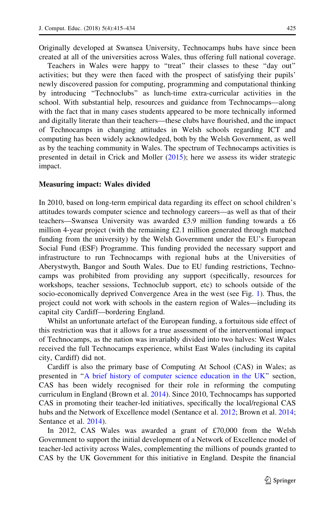Originally developed at Swansea University, Technocamps hubs have since been created at all of the universities across Wales, thus offering full national coverage.

Teachers in Wales were happy to ''treat'' their classes to these ''day out'' activities; but they were then faced with the prospect of satisfying their pupils' newly discovered passion for computing, programming and computational thinking by introducing ''Technoclubs'' as lunch-time extra-curricular activities in the school. With substantial help, resources and guidance from Technocamps—along with the fact that in many cases students appeared to be more technically informed and digitally literate than their teachers—these clubs have flourished, and the impact of Technocamps in changing attitudes in Welsh schools regarding ICT and computing has been widely acknowledged, both by the Welsh Government, as well as by the teaching community in Wales. The spectrum of Technocamps activities is presented in detail in Crick and Moller ([2015](#page-16-0)); here we assess its wider strategic impact.

#### Measuring impact: Wales divided

In 2010, based on long-term empirical data regarding its effect on school children's attitudes towards computer science and technology careers—as well as that of their teachers—Swansea University was awarded £3.9 million funding towards a £6 million 4-year project (with the remaining  $£2.1$  million generated through matched funding from the university) by the Welsh Government under the EU's European Social Fund (ESF) Programme. This funding provided the necessary support and infrastructure to run Technocamps with regional hubs at the Universities of Aberystwyth, Bangor and South Wales. Due to EU funding restrictions, Technocamps was prohibited from providing any support (specifically, resources for workshops, teacher sessions, Technoclub support, etc) to schools outside of the socio-economically deprived Convergence Area in the west (see Fig. [1](#page-11-0)). Thus, the project could not work with schools in the eastern region of Wales—including its capital city Cardiff—bordering England.

Whilst an unfortunate artefact of the European funding, a fortuitous side effect of this restriction was that it allows for a true assessment of the interventional impact of Technocamps, as the nation was invariably divided into two halves: West Wales received the full Technocamps experience, whilst East Wales (including its capital city, Cardiff) did not.

Cardiff is also the primary base of Computing At School (CAS) in Wales; as presented in '['A brief history of computer science education in the UK](#page-2-0)'' section, CAS has been widely recognised for their role in reforming the computing curriculum in England (Brown et al. [2014\)](#page-16-0). Since 2010, Technocamps has supported CAS in promoting their teacher-led initiatives, specifically the local/regional CAS hubs and the Network of Excellence model (Sentance et al. [2012](#page-18-0); Brown et al. [2014;](#page-16-0) Sentance et al. [2014](#page-18-0)).

In 2012, CAS Wales was awarded a grant of £70,000 from the Welsh Government to support the initial development of a Network of Excellence model of teacher-led activity across Wales, complementing the millions of pounds granted to CAS by the UK Government for this initiative in England. Despite the financial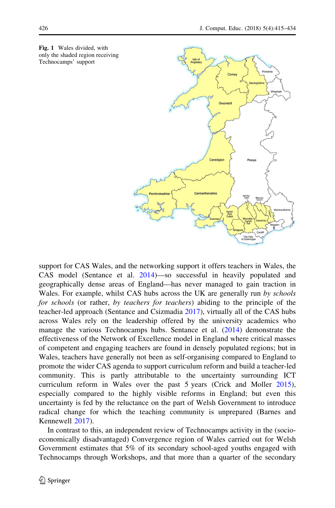<span id="page-11-0"></span>



support for CAS Wales, and the networking support it offers teachers in Wales, the CAS model (Sentance et al. [2014\)](#page-18-0)—so successful in heavily populated and geographically dense areas of England—has never managed to gain traction in Wales. For example, whilst CAS hubs across the UK are generally run by schools for schools (or rather, by teachers for teachers) abiding to the principle of the teacher-led approach (Sentance and Csizmadia [2017\)](#page-18-0), virtually all of the CAS hubs across Wales rely on the leadership offered by the university academics who manage the various Technocamps hubs. Sentance et al. ([2014](#page-18-0)) demonstrate the effectiveness of the Network of Excellence model in England where critical masses of competent and engaging teachers are found in densely populated regions; but in Wales, teachers have generally not been as self-organising compared to England to promote the wider CAS agenda to support curriculum reform and build a teacher-led community. This is partly attributable to the uncertainty surrounding ICT curriculum reform in Wales over the past 5 years (Crick and Moller [2015\)](#page-16-0), especially compared to the highly visible reforms in England; but even this uncertainty is fed by the reluctance on the part of Welsh Government to introduce radical change for which the teaching community is unprepared (Barnes and Kennewell [2017\)](#page-16-0).

In contrast to this, an independent review of Technocamps activity in the (socioeconomically disadvantaged) Convergence region of Wales carried out for Welsh Government estimates that 5% of its secondary school-aged youths engaged with Technocamps through Workshops, and that more than a quarter of the secondary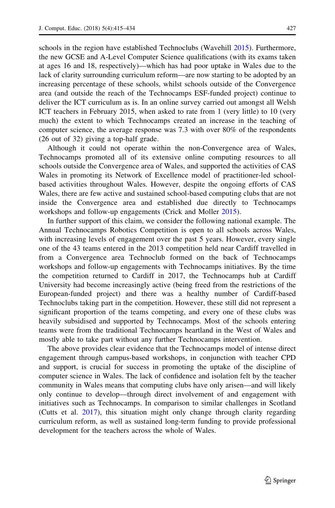schools in the region have established Technoclubs (Wavehill [2015\)](#page-18-0). Furthermore, the new GCSE and A-Level Computer Science qualifications (with its exams taken at ages 16 and 18, respectively)—which has had poor uptake in Wales due to the lack of clarity surrounding curriculum reform—are now starting to be adopted by an increasing percentage of these schools, whilst schools outside of the Convergence area (and outside the reach of the Technocamps ESF-funded project) continue to deliver the ICT curriculum as is. In an online survey carried out amongst all Welsh ICT teachers in February 2015, when asked to rate from 1 (very little) to 10 (very much) the extent to which Technocamps created an increase in the teaching of computer science, the average response was 7.3 with over 80% of the respondents (26 out of 32) giving a top-half grade.

Although it could not operate within the non-Convergence area of Wales, Technocamps promoted all of its extensive online computing resources to all schools outside the Convergence area of Wales, and supported the activities of CAS Wales in promoting its Network of Excellence model of practitioner-led schoolbased activities throughout Wales. However, despite the ongoing efforts of CAS Wales, there are few active and sustained school-based computing clubs that are not inside the Convergence area and established due directly to Technocamps workshops and follow-up engagements (Crick and Moller [2015\)](#page-16-0).

In further support of this claim, we consider the following national example. The Annual Technocamps Robotics Competition is open to all schools across Wales, with increasing levels of engagement over the past 5 years. However, every single one of the 43 teams entered in the 2013 competition held near Cardiff travelled in from a Convergence area Technoclub formed on the back of Technocamps workshops and follow-up engagements with Technocamps initiatives. By the time the competition returned to Cardiff in 2017, the Technocamps hub at Cardiff University had become increasingly active (being freed from the restrictions of the European-funded project) and there was a healthy number of Cardiff-based Technoclubs taking part in the competition. However, these still did not represent a significant proportion of the teams competing, and every one of these clubs was heavily subsidised and supported by Technocamps. Most of the schools entering teams were from the traditional Technocamps heartland in the West of Wales and mostly able to take part without any further Technocamps intervention.

The above provides clear evidence that the Technocamps model of intense direct engagement through campus-based workshops, in conjunction with teacher CPD and support, is crucial for success in promoting the uptake of the discipline of computer science in Wales. The lack of confidence and isolation felt by the teacher community in Wales means that computing clubs have only arisen—and will likely only continue to develop—through direct involvement of and engagement with initiatives such as Technocamps. In comparison to similar challenges in Scotland (Cutts et al. [2017\)](#page-16-0), this situation might only change through clarity regarding curriculum reform, as well as sustained long-term funding to provide professional development for the teachers across the whole of Wales.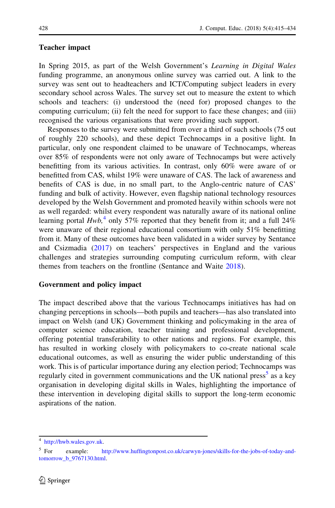## Teacher impact

In Spring 2015, as part of the Welsh Government's *Learning in Digital Wales* funding programme, an anonymous online survey was carried out. A link to the survey was sent out to headteachers and ICT/Computing subject leaders in every secondary school across Wales. The survey set out to measure the extent to which schools and teachers: (i) understood the (need for) proposed changes to the computing curriculum; (ii) felt the need for support to face these changes; and (iii) recognised the various organisations that were providing such support.

Responses to the survey were submitted from over a third of such schools (75 out of roughly 220 schools), and these depict Technocamps in a positive light. In particular, only one respondent claimed to be unaware of Technocamps, whereas over 85% of respondents were not only aware of Technocamps but were actively benefitting from its various activities. In contrast, only 60% were aware of or benefitted from CAS, whilst 19% were unaware of CAS. The lack of awareness and benefits of CAS is due, in no small part, to the Anglo-centric nature of CAS' funding and bulk of activity. However, even flagship national technology resources developed by the Welsh Government and promoted heavily within schools were not as well regarded: whilst every respondent was naturally aware of its national online learning portal Hwb,<sup>4</sup> only 57% reported that they benefit from it; and a full 24% were unaware of their regional educational consortium with only 51% benefitting from it. Many of these outcomes have been validated in a wider survey by Sentance and Csizmadia [\(2017](#page-18-0)) on teachers' perspectives in England and the various challenges and strategies surrounding computing curriculum reform, with clear themes from teachers on the frontline (Sentance and Waite [2018](#page-18-0)).

## Government and policy impact

The impact described above that the various Technocamps initiatives has had on changing perceptions in schools—both pupils and teachers—has also translated into impact on Welsh (and UK) Government thinking and policymaking in the area of computer science education, teacher training and professional development, offering potential transferability to other nations and regions. For example, this has resulted in working closely with policymakers to co-create national scale educational outcomes, as well as ensuring the wider public understanding of this work. This is of particular importance during any election period; Technocamps was regularly cited in government communications and the UK national press<sup>5</sup> as a key organisation in developing digital skills in Wales, highlighting the importance of these intervention in developing digital skills to support the long-term economic aspirations of the nation.

<sup>4</sup> [http://hwb.wales.gov.uk.](http://hwb.wales.gov.uk)

<sup>5</sup> For example: [http://www.huffingtonpost.co.uk/carwyn-jones/skills-for-the-jobs-of-today-and](http://www.huffingtonpost.co.uk/carwyn-jones/skills-for-the-jobs-of-today-and-tomorrow_b_9767130.html)[tomorrow\\_b\\_9767130.html.](http://www.huffingtonpost.co.uk/carwyn-jones/skills-for-the-jobs-of-today-and-tomorrow_b_9767130.html)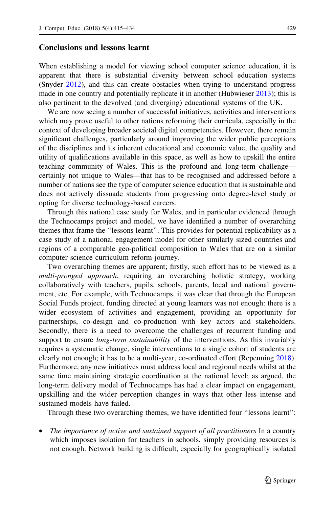## <span id="page-14-0"></span>Conclusions and lessons learnt

When establishing a model for viewing school computer science education, it is apparent that there is substantial diversity between school education systems (Snyder [2012\)](#page-18-0), and this can create obstacles when trying to understand progress made in one country and potentially replicate it in another (Hubwieser [2013\)](#page-17-0); this is also pertinent to the devolved (and diverging) educational systems of the UK.

We are now seeing a number of successful initiatives, activities and interventions which may prove useful to other nations reforming their curricula, especially in the context of developing broader societal digital competencies. However, there remain significant challenges, particularly around improving the wider public perceptions of the disciplines and its inherent educational and economic value, the quality and utility of qualifications available in this space, as well as how to upskill the entire teaching community of Wales. This is the profound and long-term challenge certainly not unique to Wales—that has to be recognised and addressed before a number of nations see the type of computer science education that is sustainable and does not actively dissuade students from progressing onto degree-level study or opting for diverse technology-based careers.

Through this national case study for Wales, and in particular evidenced through the Technocamps project and model, we have identified a number of overarching themes that frame the ''lessons learnt''. This provides for potential replicability as a case study of a national engagement model for other similarly sized countries and regions of a comparable geo-political composition to Wales that are on a similar computer science curriculum reform journey.

Two overarching themes are apparent; firstly, such effort has to be viewed as a multi-pronged approach, requiring an overarching holistic strategy, working collaboratively with teachers, pupils, schools, parents, local and national government, etc. For example, with Technocamps, it was clear that through the European Social Funds project, funding directed at young learners was not enough: there is a wider ecosystem of activities and engagement, providing an opportunity for partnerships, co-design and co-production with key actors and stakeholders. Secondly, there is a need to overcome the challenges of recurrent funding and support to ensure *long-term sustainability* of the interventions. As this invariably requires a systematic change, single interventions to a single cohort of students are clearly not enough; it has to be a multi-year, co-ordinated effort (Repenning [2018\)](#page-18-0). Furthermore, any new initiatives must address local and regional needs whilst at the same time maintaining strategic coordination at the national level; as argued, the long-term delivery model of Technocamps has had a clear impact on engagement, upskilling and the wider perception changes in ways that other less intense and sustained models have failed.

Through these two overarching themes, we have identified four ''lessons learnt'':

The importance of active and sustained support of all practitioners In a country which imposes isolation for teachers in schools, simply providing resources is not enough. Network building is difficult, especially for geographically isolated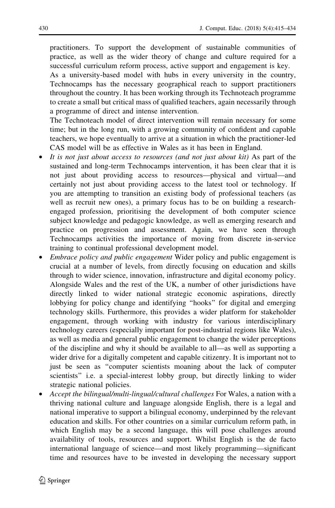practitioners. To support the development of sustainable communities of practice, as well as the wider theory of change and culture required for a successful curriculum reform process, active support and engagement is key.

As a university-based model with hubs in every university in the country, Technocamps has the necessary geographical reach to support practitioners throughout the country. It has been working through its Technoteach programme to create a small but critical mass of qualified teachers, again necessarily through a programme of direct and intense intervention.

The Technoteach model of direct intervention will remain necessary for some time; but in the long run, with a growing community of confident and capable teachers, we hope eventually to arrive at a situation in which the practitioner-led CAS model will be as effective in Wales as it has been in England.

- It is not just about access to resources (and not just about kit) As part of the sustained and long-term Technocamps intervention, it has been clear that it is not just about providing access to resources—physical and virtual—and certainly not just about providing access to the latest tool or technology. If you are attempting to transition an existing body of professional teachers (as well as recruit new ones), a primary focus has to be on building a researchengaged profession, prioritising the development of both computer science subject knowledge and pedagogic knowledge, as well as emerging research and practice on progression and assessment. Again, we have seen through Technocamps activities the importance of moving from discrete in-service training to continual professional development model.
- *Embrace policy and public engagement* Wider policy and public engagement is crucial at a number of levels, from directly focusing on education and skills through to wider science, innovation, infrastructure and digital economy policy. Alongside Wales and the rest of the UK, a number of other jurisdictions have directly linked to wider national strategic economic aspirations, directly lobbying for policy change and identifying ''hooks'' for digital and emerging technology skills. Furthermore, this provides a wider platform for stakeholder engagement, through working with industry for various interdisciplinary technology careers (especially important for post-industrial regions like Wales), as well as media and general public engagement to change the wider perceptions of the discipline and why it should be available to all—as well as supporting a wider drive for a digitally competent and capable citizenry. It is important not to just be seen as ''computer scientists moaning about the lack of computer scientists'' i.e. a special-interest lobby group, but directly linking to wider strategic national policies.
- Accept the bilingual/multi-lingual/cultural challenges For Wales, a nation with a thriving national culture and language alongside English, there is a legal and national imperative to support a bilingual economy, underpinned by the relevant education and skills. For other countries on a similar curriculum reform path, in which English may be a second language, this will pose challenges around availability of tools, resources and support. Whilst English is the de facto international language of science—and most likely programming—significant time and resources have to be invested in developing the necessary support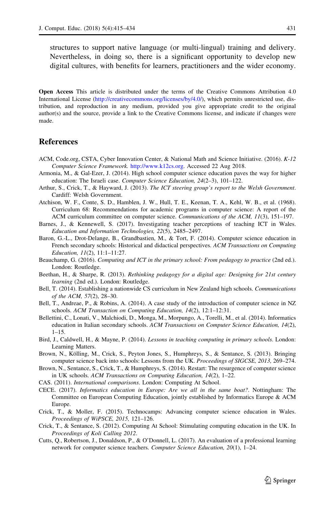<span id="page-16-0"></span>structures to support native language (or multi-lingual) training and delivery. Nevertheless, in doing so, there is a significant opportunity to develop new digital cultures, with benefits for learners, practitioners and the wider economy.

Open Access This article is distributed under the terms of the Creative Commons Attribution 4.0 International License ([http://creativecommons.org/licenses/by/4.0/\)](http://creativecommons.org/licenses/by/4.0/), which permits unrestricted use, distribution, and reproduction in any medium, provided you give appropriate credit to the original author(s) and the source, provide a link to the Creative Commons license, and indicate if changes were made.

# **References**

- ACM, Code.org, CSTA, Cyber Innovation Center, & National Math and Science Initiative. (2016). K-12 Computer Science Framework. [http://www.k12cs.org.](http://www.k12cs.org) Accessed 22 Aug 2018.
- Armonia, M., & Gal-Ezer, J. (2014). High school computer science education paves the way for higher education: The Israeli case. Computer Science Education, 24(2–3), 101–122.
- Arthur, S., Crick, T., & Hayward, J. (2013). The ICT steering group's report to the Welsh Government. Cardiff: Welsh Government.
- Atchison, W. F., Conte, S. D., Hamblen, J. W., Hull, T. E., Keenan, T. A., Kehl, W. B., et al. (1968). Curriculum 68: Recommendations for academic programs in computer science: A report of the ACM curriculum committee on computer science. Communications of the ACM, 11(3), 151–197.
- Barnes, J., & Kennewell, S. (2017). Investigating teacher perceptions of teaching ICT in Wales. Education and Information Technologies, 22(5), 2485–2497.
- Baron, G.-L., Drot-Delange, B., Grandbastien, M., & Tort, F. (2014). Computer science education in French secondary schools: Historical and didactical perspectives. ACM Transactions on Computing Education, 11(2), 11:1–11:27.
- Beauchamp, G. (2016). Computing and ICT in the primary school: From pedagogy to practice (2nd ed.). London: Routledge.
- Beethan, H., & Sharpe, R. (2013). Rethinking pedagogy for a digital age: Designing for 21st century learning (2nd ed.). London: Routledge.
- Bell, T. (2014). Establishing a nationwide CS curriculum in New Zealand high schools. Communications of the ACM, 57(2), 28–30.
- Bell, T., Andreae, P., & Robins, A. (2014). A case study of the introduction of computer science in NZ schools. ACM Transaction on Computing Education, 14(2), 12:1–12:31.
- Bellettini, C., Lonati, V., Malchiodi, D., Monga, M., Morpungo, A., Torelli, M., et al. (2014). Informatics education in Italian secondary schools. ACM Transactions on Computer Science Education, 14(2),  $1 - 15$ .
- Bird, J., Caldwell, H., & Mayne, P. (2014). Lessons in teaching computing in primary schools. London: Learning Matters.
- Brown, N., Kölling, M., Crick, S., Peyton Jones, S., Humphreys, S., & Sentance, S. (2013). Bringing computer science back into schools: Lessons from the UK. Proceedings of SIGCSE, 2013, 269–274.
- Brown, N., Sentance, S., Crick, T., & Humphreys, S. (2014). Restart: The resurgence of computer science in UK schools. ACM Transactions on Computing Education, 14(2), 1–22.
- CAS. (2011). International comparisons. London: Computing At School.
- CECE. (2017). Informatics education in Europe: Are we all in the same boat?. Nottingham: The Committee on European Computing Education, jointly established by Informatics Europe & ACM Europe.
- Crick, T., & Moller, F. (2015). Technocamps: Advancing computer science education in Wales. Proceedings of WiPSCE, 2015, 121–126.
- Crick, T., & Sentance, S. (2012). Computing At School: Stimulating computing education in the UK. In Proceedings of Koli Calling 2012.
- Cutts, Q., Robertson, J., Donaldson, P., & O'Donnell, L. (2017). An evaluation of a professional learning network for computer science teachers. Computer Science Education, 20(1), 1–24.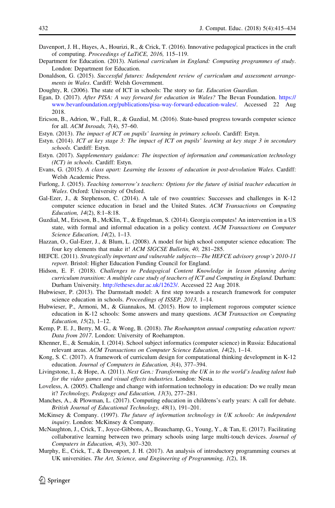- <span id="page-17-0"></span>Davenport, J. H., Hayes, A., Hourizi, R., & Crick, T. (2016). Innovative pedagogical practices in the craft of computing. Proceedings of LaTiCE, 2016, 115–119.
- Department for Education. (2013). National curriculum in England: Computing programmes of study. London: Department for Education.
- Donaldson, G. (2015). Successful futures: Independent review of curriculum and assessment arrangements in Wales. Cardiff: Welsh Government.
- Doughty, R. (2006). The state of ICT in schools: The story so far. Education Guardian.
- Egan, D. (2017). After PISA: A way forward for education in Wales? The Bevan Foundation. [https://](https://www.bevanfoundation.org/publications/pisa-way-forward-education-wales/) [www.bevanfoundation.org/publications/pisa-way-forward-education-wales/.](https://www.bevanfoundation.org/publications/pisa-way-forward-education-wales/) Accessed 22 Aug 2018.
- Ericson, B., Adrion, W., Fall, R., & Guzdial, M. (2016). State-based progress towards computer science for all. ACM Inroads, 7(4), 57–60.
- Estyn. (2013). The impact of ICT on pupils' learning in primary schools. Cardiff: Estyn.
- Estyn. (2014). ICT at key stage 3: The impact of ICT on pupils' learning at key stage 3 in secondary schools. Cardiff: Estyn.
- Estyn. (2017). Supplementary guidance: The inspection of information and communication technology (ICT) in schools. Cardiff: Estyn.
- Evans, G. (2015). A class apart: Learning the lessons of education in post-devolution Wales. Cardiff: Welsh Academic Press.
- Furlong, J. (2015). Teaching tomorrow's teachers: Options for the future of initial teacher education in Wales. Oxford: University of Oxford.
- Gal-Ezer, J., & Stephenson, C. (2014). A tale of two countries: Successes and challenges in K-12 computer science education in Israel and the United States. ACM Transactions on Computing Education, 14(2), 8:1–8:18.
- Guzdial, M., Ericson, B., McKlin, T., & Engelman, S. (2014). Georgia computes! An intervention in a US state, with formal and informal education in a policy context. ACM Transactions on Computer Science Education, 14(2), 1–13.
- Hazzan, O., Gal-Ezer, J., & Blum, L. (2008). A model for high school computer science education: The four key elements that make it! ACM SIGCSE Bulletin, 40, 281–285.
- HEFCE. (2011). Strategically important and vulnerable subjects—The HEFCE advisory group's 2010-11 report. Bristol: Higher Education Funding Council for England.
- Hidson, E. F. (2018). Challenges to Pedagogical Content Knowledge in lesson planning during curriculum transition: A multiple case study of teachers of ICT and Computing in England. Durham: Durham University. <http://etheses.dur.ac.uk/12623/>. Accessed 22 Aug 2018.
- Hubwieser, P. (2013). The Darmstadt model: A first step towards a research framework for computer science education in schools. Proceedings of ISSEP, 2013, 1–14.
- Hubwieser, P., Armoni, M., & Giannakos, M. (2015). How to implement rogorous computer science education in K-12 schools: Some answers and many questions. ACM Transaction on Computing Education, 15(2), 1–12.
- Kemp, P. E. J., Berry, M. G., & Wong, B. (2018). The Roehampton annual computing education report: Data from 2017. London: University of Roehampton.
- Khenner, E., & Semakin, I. (2014). School subject informatics (computer science) in Russia: Educational relevant areas. ACM Transactions on Computer Science Education, 14(2), 1–14.
- Kong, S. C. (2017). A framework of curriculum design for computational thinking development in K-12 education. Journal of Computers in Education, 3(4), 377–394.
- Livingstone, I., & Hope, A. (2011). Next Gen.: Transforming the UK in to the world's leading talent hub for the video games and visual effects industries. London: Nesta.
- Loveless, A. (2005). Challenge and change with information technology in education: Do we really mean it? Technology, Pedagogy and Education, 13(3), 277–281.
- Manches, A., & Plowman, L. (2017). Computing education in childrens's early years: A call for debate. British Journal of Educational Technology, 48(1), 191–201.
- McKinsey & Company. (1997). The future of information technology in UK schools: An independent inquiry. London: McKinsey & Company.
- McNaughton, J., Crick, T., Joyce-Gibbons, A., Beauchamp, G., Young, Y., & Tan, E. (2017). Facilitating collaborative learning between two primary schools using large multi-touch devices. Journal of Computers in Education, 4(3), 307–320.
- Murphy, E., Crick, T., & Davenport, J. H. (2017). An analysis of introductory programming courses at UK universities. The Art, Science, and Engineering of Programming, 1(2), 18.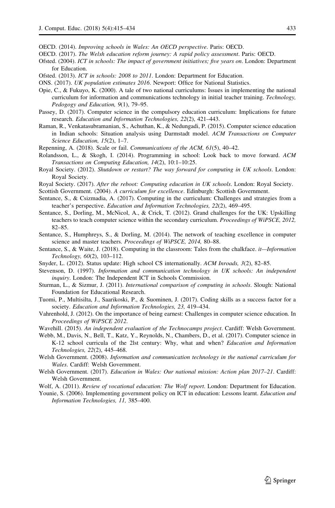<span id="page-18-0"></span>OECD. (2014). Improving schools in Wales: An OECD perspective. Paris: OECD.

- OECD. (2017). The Welsh education reform journey: A rapid policy assessment. Paris: OECD.
- Ofsted. (2004). ICT in schools: The impact of government initiatives; five years on. London: Department for Education.
- Ofsted. (2013). ICT in schools: 2008 to 2011. London: Department for Education.

ONS. (2017). UK population estimates 2016. Newport: Office for National Statistics.

- Opie, C., & Fukuyo, K. (2000). A tale of two national curriculums: Issues in implementing the national curriculum for information and communications technology in initial teacher training. Technology, Pedogogy and Education, 9(1), 79-95.
- Passey, D. (2017). Computer science in the compulsory education curriculum: Implications for future research. Education and Information Technologies, 22(2), 421–443.
- Raman, R., Venkatasubramanian, S., Achuthan, K., & Nedungadi, P. (2015). Computer science education in Indian schools: Situation analysis using Darmstadt model. ACM Transactions on Computer Science Education, 15(2), 1–7.
- Repenning, A. (2018). Scale or fail. Communications of the ACM, 61(5), 40-42.
- Rolandsson, L., & Skogh, I. (2014). Programming in school: Look back to move forward. ACM Transactions on Computing Education, 14(2), 10:1–10:25.
- Royal Society. (2012). Shutdown or restart? The way forward for computing in UK schools. London: Royal Society.
- Royal Society. (2017). After the reboot: Computing education in UK schools. London: Royal Society.

Scottish Government. (2004). A curriculum for excellence. Edinburgh: Scottish Government.

- Sentance, S., & Csizmadia, A. (2017). Computing in the curriculum: Challenges and strategies from a teacher's perspective. Education and Information Technologies, 22(2), 469–495.
- Sentance, S., Dorling, M., McNicol, A., & Crick, T. (2012). Grand challenges for the UK: Upskilling teachers to teach computer science within the secondary curriculum. Proceedings of WiPSCE, 2012, 82–85.
- Sentance, S., Humphreys, S., & Dorling, M. (2014). The network of teaching excellence in computer science and master teachers. Proceedings of WiPSCE, 2014, 80–88.
- Sentance, S., & Waite, J. (2018). Computing in the classroom: Tales from the chalkface. *it—Information* Technology, 60(2), 103–112.
- Snyder, L. (2012). Status update: High school CS internationally. ACM Inroads, 3(2), 82–85.
- Stevenson, D. (1997). Information and communication technology in UK schools: An independent inquiry. London: The Independent ICT in Schools Commission.
- Sturman, L., & Sizmur, J. (2011). International comparison of computing in schools. Slough: National Foundation for Educational Research.
- Tuomi, P., Multisilta, J., Saarikoski, P., & Suominen, J. (2017). Coding skills as a success factor for a society. Education and Information Technologies, 23, 419–434.
- Vahrenhold, J. (2012). On the importance of being earnest: Challenges in computer science education. In Proceedings of WiPSCE 2012.
- Wavehill. (2015). An independent evaluation of the Technocamps project. Cardiff: Welsh Government.
- Webb, M., Davis, N., Bell, T., Katz, Y., Reynolds, N., Chambers, D., et al. (2017). Computer science in K-12 school curricula of the 2lst century: Why, what and when? Education and Information Technologies, 22(2), 445–468.
- Welsh Government. (2008). Information and communication technology in the national curriculum for Wales. Cardiff: Welsh Government.
- Welsh Government. (2017). Education in Wales: Our national mission: Action plan 2017–21. Cardiff: Welsh Government.
- Wolf, A. (2011). Review of vocational education: The Wolf report. London: Department for Education.
- Younie, S. (2006). Implementing government policy on ICT in education: Lessons learnt. Education and Information Technologies, 11, 385–400.